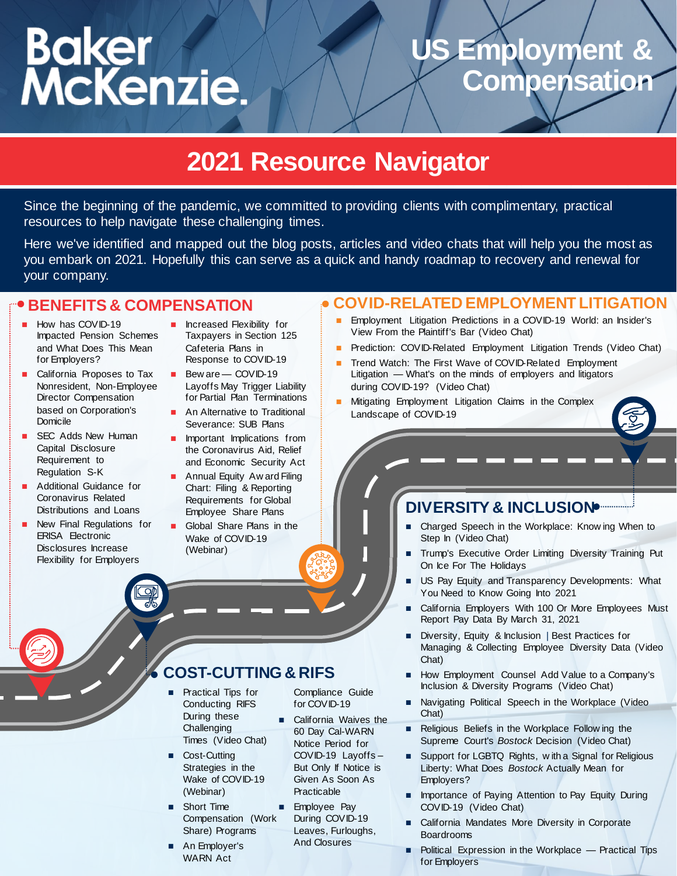# Baker<br>McKenzie.

# US Employment **Compensation**

# **2021 Resource Navigator**

Since the beginning of the pandemic, we committed to providing clients with complimentary, practical resources to help navigate these challenging times.

Here we've identified and mapped out the blog posts, articles and video chats that will help you the most as you embark on 2021. Hopefully this can serve as a quick and handy roadmap to recovery and renewal for your company.

## **BENEFITS & COMPENSATION**

- How has COVID-19 [Impacted Pension Schemes](https://www.thecompensationconnection.com/2020/11/23/how-has-covid-19-impacted-pension-schemes-and-what-does-this-mean-for-employers/) and What Does This Mean for Employers?
- California Proposes to Tax [Nonresident, Non-Employee](https://www.thecompensationconnection.com/2020/09/29/california-proposes-to-tax-nonresident-non-employee-director-compensation-based-on-corporations-domicile/)  Director Compensation based on Corporation's Domicile
- SEC Adds New Human [Capital Disclosure](https://www.thecompensationconnection.com/2020/09/16/sec-adds-new-human-capital-disclosure-requirement-to-regulation-s-k/)  Requirement to Regulation S-K
- Additional Guidance for Coronavirus Related [Distributions and Loans](https://www.thecompensationconnection.com/2020/06/22/additional-guidance-for-coronavirus-related-distributions-and-loans/)
- [New Final Regulations for](https://www.thecompensationconnection.com/2020/06/04/new-final-regulations-for-erisa-electronic-disclosures-increase-flexibility-for-employers/)  ERISA Electronic Disclosures Increase Flexibility for Employers
- Increased Flexibility for [Taxpayers in Section 125](https://www.theemployerreport.com/2020/05/increased-flexibility-for-taxpayers-in-section-125-cafeteria-plans-in-response-to-covid-19/)  Cafeteria Plans in Response to COVID-19
- Bew are COVID-19 [Layoffs May Trigger Liability](https://www.globalequityequation.com/2020/05/15/beware-covid-19-layoffs-may-trigger-liability-for-partial-plan-terminations/)  [for Partial Plan Terminations](https://www.thecompensationconnection.com/2020/04/17/an-alternative-to-traditional-severance-sub-plans/)
- [An Alternative to Traditional](https://www.thecompensationconnection.com/2020/04/17/an-alternative-to-traditional-severance-sub-plans/)  Severance: SUB Plans
- Important Implications from [the Coronavirus Aid, Relief](https://www.thecompensationconnection.com/2020/03/27/important-implications-from-the-coronavirus-aid-relief-and-economic-security-act/)  and Economic Security Act
- **Annual Equity Aw ard Filing** [Chart: Filing & Reporting](https://f.datasrvr.com/fr1/820/56456/Year_End_Reporting_Chart_2020.pdf)  Requirements for Global Employee Share Plans
- [Global Share Plans in the](https://primetime.bluejeans.com/a2m/events/playback/a1350736-0603-4c18-af2b-12562461ac6f)  Wake of COVID-19 (Webinar)

## **COVID-RELATED EMPLOYMENT LITIGATION**

- [Employment Litigation Predictions in a COVID-19 World: an Insider's](https://bakermckenzie.zoom.us/rec/play/7J0ofuyvqWg3E4XE5ASDC_ArW9W5f_mshHQWr_cOzh3jVCFXN1T0ZrFHY7ecD0aO_inO_Vx1ezbN5bAE)  View From the Plaintiff's Bar (Video Chat)
- [Prediction: COVID-Related Employment Litigation Trends \(Video Chat\)](https://video.bakermckenzie.com/#/videos/8d43422e-33ab-4061-842d-4f1142f665bd)
- [Trend Watch: The First Wave of COVID-Related Employment](https://video.bakermckenzie.com/embed?id=0d7c5589-8cd0-47f9-a1b7-4ec7cafdc11c)  Litigation — What's on the minds of employers and litigators during COVID-19? (Video Chat)
- **Mitigating Employment Litigation Claims in the Complex** Landscape of COVID-19

# **DIVERSITY & INCLUSION**

- [Charged Speech in the Workplace: Know ing When t](https://bakermckenzie.zoom.us/rec/play/mXa0NuctbSGKqcXvMJ0XKzaNHlewFFu0OPLgL4qFkJXKMOJtSAu_4h33kPZoWDI5EyzafVuRgzh_cNh1.ApG-eMGrxKLu_MZN)o Step In (Video Chat)
- [Trump's Executive Order Limiting Diversity Training](https://www.theemployerreport.com/2020/12/trumps-executive-order-limiting-diversity-training-put-on-ice-for-the-holidays/) Put On Ice For The Holidays
- [US Pay Equity and Transparency Developments: What](https://www.theemployerreport.com/2020/12/us-pay-equity-and-transparency-developments-what-you-need-to-know-going-into-2021/)  You Need to Know Going Into 2021
- [California Employers With 100 Or More Employees M](https://www.theemployerreport.com/2020/10/california-employers-with-100-or-more-employees-must-report-pay-data-by-march-31-2021/)ust Report Pay Data By March 31, 2021
- Diversity, Equity & Inclusion | Best Practices for [Managing & Collecting Employee Diversity Data \(Video](https://video.bakermckenzie.com/embed?id=78ca3976-c080-494a-beba-97fcd1b1046a) Chat)
- [How Employment Counsel Add Value to a Company's](https://bakermckenzie.zoom.us/rec/play/NkuHqdNsMfVdCgbZkdpw5CGN2p9DNASTGotVr0Sq6gtSlvCZeHjgIsMUBtDP6Mccwg9DdQjZy3TrO7Qv.LUQpOZDHoY57c5-p)  Inclusion & Diversity Programs (Video Chat)
- **Navigating Political Speech in the Workplace (Video** Chat)
- Religious Beliefs in the Workplace Follow ing the Supreme Court's *Bostock* Decision (Video Chat)
- [Support for LGBTQ Rights, w ith a Signal for Religious](https://www.theemployerreport.com/2020/07/support-for-lgbtq-rights-with-a-signal-for-religious-liberty-what-does-bostock-actually-mean-for-employers/)  Liberty: What Does *Bostock* Actually Mean for Employers?
- [Importance of Paying Attention to Pay Equity During](https://bakermckenzie.zoom.us/rec/play/vpMpJuyh_Do3H4fB4wSDBf9_W42_Lq6s0nIc8vAFzUqxBXYKZAD0Y7pEarQtTS5iufVIDb68Njm7vFBA)  COVID-19 (Video Chat)
- California Mandates More Diversity in Corporate Boardrooms
- [Political Expression in the Workplace —](https://www.theemployerreport.com/2020/08/political-expression-in-the-workplace-practical-tips-for-employers/) Practical Tips for Employers

# **COST-CUTTING & RIFS**

- Practical Tips for Conducting RIFS During these **Challenging** [Times \(Video Chat\)](https://bakermckenzie.zoom.us/rec/play/6ZZ5Jb36qDI3E4CVuASDVvB8W9Tveq2s0SUerqAEnhvkBnABMVCnNLQWNuUXqByB2hoQNkXc0X2l2WQk)
- Cost-Cutting [Strategies in the](https://bakermckenzie.zoom.us/rec/play/6ZZ5Jb36qDI3E4CVuASDVvB8W9Tveq2s0SUerqAEnhvkBnABMVCnNLQWNuUXqByB2hoQNkXc0X2l2WQk)  [Wake of COVID-19](https://f.datasrvr.com/fr1/120/63162/An_Employers_WARN_Act_Compliance_Guide_For_COVID-19.pdf)  (Webinar)
- Short Time [Compensation \(Work](https://www.theemployerreport.com/2020/04/short-time-compensation-work-share-programs/)  Share) Programs
- An Employer's WARN Act

Compliance Guide for COVID-19

- California Waives the 60 Day Cal-WARN Notice Period for COVID-19 Layoffs – But Only If Notice is [Given As Soon As](https://www.theemployerreport.com/2020/03/employee-pay-during-covid-19-leaves-furloughs-and-closures/)  Practicable
- **Employee Pay** During COVID-19 Leaves, Furloughs, And Closures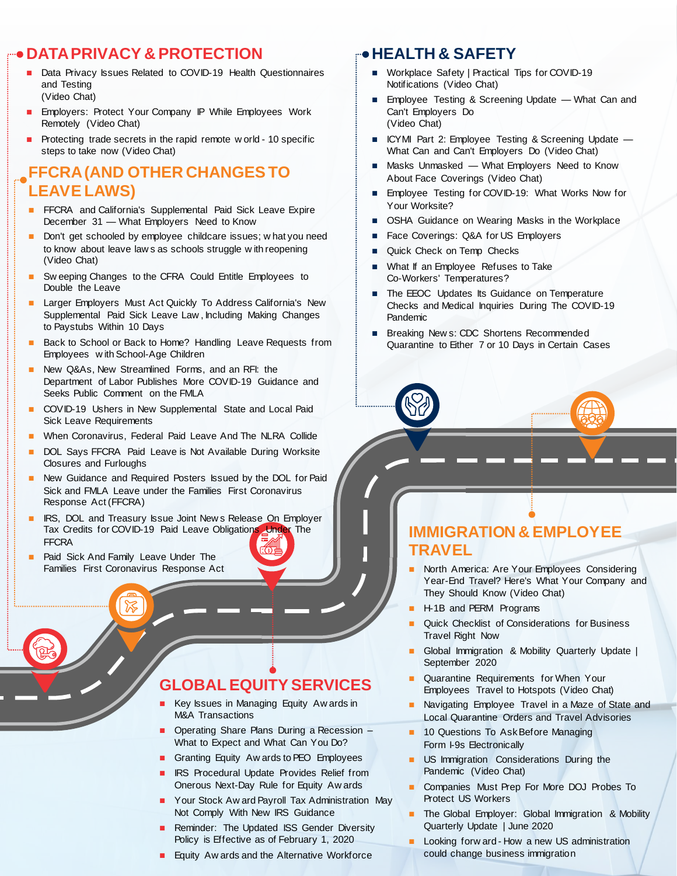## **DATA PRIVACY & PROTECTION**

- [Data Privacy Issues Related to COVID-19 Health Questionnaires](https://bakermckenzie.zoom.us/rec/play/tJ17c7utqW43G4eRtwSDUfIqW9XvL_qsgyZK_6cOykrnBiYLOwH0YroaYOA8dJP0jzKxyN07IkzxRZxY)  and Testing (Video Chat)
- [Employers: Protect Your Company IP While Employees Work](https://bakermckenzie.zoom.us/rec/play/7JR4JO6rqDs3GYDBswSDAKV_W461LP2sgyke_Pten0mxUnYLYACgZeNBZepWfRYVKG2mR2v7wkQjEQMD)  Remotely (Video Chat)
- [Protecting trade secrets in the rapid remote w orld -](https://insightplus.bakermckenzie.com/bm/dispute-resolution/international-protecting-trade-secrets-in-the-rapid-remote-world-10-specific-steps-to-take-now) 10 specific steps to take now (Video Chat)

#### **FFCRA(AND OTHER CHANGES TO LEAVE LAWS)**

- **FFCRA** and California's Supplemental Paid Sick Leave Expire December 31 — What Employers Need to Know
- [Don't get schooled by employee childcare issues; w hat you need](https://bakermckenzie.zoom.us/rec/play/7pN5c-msqDk3TNKU5gSDB_Z9W9TsJqms1nMb8_QNn0_mWyUCO1L0MuQTMOevA6m8Az7kyHttK6zt-4P7)  to know about leave law s as schools struggle w ith reopening (Video Chat)
- [Sw eeping Changes to the CFRA Could Entitle Employees to](https://www.theemployerreport.com/2020/11/sweeping-changes-to-the-cfra-could-entitle-employees-to-double-the-leave/)  Double the Leave
- [Larger Employers Must Act Quickly To Address California's New](https://www.theemployerreport.com/2020/09/larger-employers-must-act-quickly-to-address-californias-new-supplemental-paid-sick-leave-law-including-making-changes-to-paystubs-within-10-days/)  Supplemental Paid Sick Leave Law , Including Making Changes to Paystubs Within 10 Days
- [Back to School or Back to Home? Handling Leave Requests from](https://www.theemployerreport.com/2020/08/back-to-school-or-back-to-home-handling-leave-requests-from-employees-with-school-age-children/)  Employees w ith School-Age Children
- [New Q&As, New Streamlined Forms, and an RFI: the](https://www.theemployerreport.com/2020/07/new-qas-new-streamlined-forms-and-an-rfi-the-department-of-labor-publishes-more-covid-19-guidance-and-seeks-public-comment-on-the-fmla/)  Department of Labor Publishes More COVID-19 Guidance and Seeks Public Comment on the FMLA
- [COVID-19 Ushers in New Supplemental State and Local Paid](https://www.theemployerreport.com/2020/04/covid-19-ushers-in-new-supplemental-state-and-local-paid-sick-leave-requirements/)  [Sick Leave Requirements](https://f.datasrvr.com/fr1/120/58247/Law360_-_When_Coronavirus_Federal_Paid_Leave_And_The_NLRA_Collide.pdf)
- **Number Coronavirus, Federal Paid Leave And The NLRA Collide**
- DOL Says FFCRA Paid Leave is Not Available During Worksite Closures and Furloughs
- [New Guidance and Required Posters Issued by the DOL for Paid](https://www.theemployerreport.com/2020/03/new-guidance-and-required-posters-issued-by-the-dol-for-paid-sick-and-fmla-leave-under-the-families-first-coronavirus-response-act-ffcra/)  Sick and FMLA Leave under the Families First Coronavirus Response Act (FFCRA)
- [IRS, DOL and Treasury Issue Joint New s Release On Employer](https://www.theemployerreport.com/2020/03/irs-dol-and-treasury-issue-joint-news-release-on-employer-tax-credits-for-covid-19-paid-leave-obligations-under-the-ffcra/)  Tax Credits for COVID-19 Paid Leave Obligations Under The FFCRA
- [Paid Sick And Family Leave Under The](https://www.theemployerreport.com/2020/03/paid-sick-and-family-leave-under-the-families-first-coronavirus-response-act/)  Families First Coronavirus Response Act

## **GLOBAL EQUITY SERVICES**

- [Key Issues in Managing Equity Aw ards in](https://www.globalequityequation.com/2020/09/02/key-issues-in-managing-equity-awards-in-ma-transactions/)  M&A Transactions
- [Operating Share Plans During a Recession –](https://www.globalequityequation.com/2020/03/23/operating-share-plans-during-a-recession-what-to-expect-and-what-can-you-do/) What to Expect and What Can You Do?
- [Granting Equity Aw ards to PEO Employees](https://www.globalequityequation.com/2020/01/28/granting-equity-awards-to-peo-employees/)
- [IRS Procedural Update Provides Relief from](https://www.thecompensationconnection.com/2020/07/15/irs-procedural-update-provides-relief-from-onerous-next-day-rule-for-equity-awards/)  Onerous Next-Day Rule for Equity Aw ards
- **Nour Stock Aw ard Payroll Tax Administration May** Not Comply With New IRS Guidance
- [Reminder: The Updated ISS Gender Diversity](https://www.thecompensationconnection.com/2020/02/20/reminder-the-updated-iss-gender-diversity-policy-is-effective-as-of-february-1-2020/)  Policy is Effective as of February 1, 2020
- [Equity Aw ards and the Alternative Workforce](https://f.datasrvr.com/fr1/820/31991/Equity_Awards_and_the_Alternative_Workforce.pdf)

#### **HEALTH & SAFETY**

- Workplace Safety | Practical Tips for COVID-19 Notifications (Video Chat)
- **[Employee Testing & Screening Update —](https://bakermckenzie.zoom.us/rec/play/u5V-JOyvrTw3GoDDtASDAqV5W420J_ms0iMfqPcEzBm9BndRMwX3b7MVauo6Bu_5_fXh_DZH33xXBvae) What Can and** Can't Employers Do (Video Chat)
- [ICYMI Part 2: Employee Testing & Screening Update —](https://video.bakermckenzie.com/embed?id=b6ad2c32-3285-4423-acc4-9e6754185948) What Can and Can't Employers Do (Video Chat)
- Masks Unmasked What Employers Need to Know [About Face Coverings \(Video Chat\)](https://video.bakermckenzie.com/embed?id=53d3f6e8-946e-410d-9f45-a23e87c3eef5)
- **Employee Testing for COVID-19: What Works Now for** Your Worksite?
- [OSHA Guidance on Wearing Masks in the Workplace](https://www.theemployerreport.com/2020/06/osha-guidance-on-wearing-masks-in-the-workplace/)
- [Face Coverings: Q&A for US Employers](https://www.theemployerreport.com/2020/05/face-coverings-qa-for-us-employers/)
- [Quick Check on Temp Checks](https://www.theemployerreport.com/2020/05/quick-check-on-temp-checks/)
- **Nhat If an Employee Refuses to Take** Co-Workers' Temperatures?
- **The EEOC Updates Its Guidance on Temperature** [Checks and Medical Inquiries During The COVID-19](https://www.theemployerreport.com/2020/03/the-eeoc-updates-its-guidance-on-temperature-checks-and-medical-inquiries-during-the-covid-19-pandemic/)  Pandemic
- Breaking New s: CDC Shortens Recommended [Quarantine to Either 7 or 10 Days in Certain Cases](https://www.theemployerreport.com/2020/12/breaking-news-cdc-shortens-recommended-quarantine-to-either-7-or-10-days-in-certain-cases/)

#### **IMMIGRATION & EMPLOYEE TRAVEL**

- North America: Are Your Employees Considering [Year-End Travel? Here's What Your Company and](https://video.bakermckenzie.com/embed?id=da49404c-8877-4c13-a4be-441a269e45bd)  They Should Know (Video Chat)
- [H-1B and PERM Programs](https://bakerxchange.com/rv/ff006ba87cd9fb2e22853a594a428f552e11e24b)
- Quick Checklist of Considerations for Business Travel Right Now
- [Global Immigration & Mobility Quarterly Update |](https://www.theemployerreport.com/2020/09/the-global-employer-global-immigration-mobility-quarterly-update-september-2020/)  September 2020
- Quarantine Requirements for When Your [Employees Travel to Hotspots \(Video Chat\)](https://video.bakermckenzie.com/embed?id=52a47621-3371-40f5-8293-738ca9db0c8e)
- [Navigating Employee Travel in a Maze of State and](https://www.theemployerreport.com/2020/08/navigating-employee-travel-in-a-maze-of-state-and-local-quarantine-orders-and-travel-advisories/)  Local Quarantine Orders and Travel Advisories
- **10 Questions To Ask Before Managing** Form I-9s Electronically
- **US Immigration Considerations During the** Pandemic (Video Chat)
- Companies Must Prep For More DOJ Probes To Protect US Workers
- [The Global Employer: Global Immigration & Mobility](https://bakerxchange.com/rv/ff006370e39c274a14ed42ad4d4f85cd04e3d6f1)  Quarterly Update | June 2020
- Looking forw ard How a new US administration [could change business immigration](https://insightplus.bakermckenzie.com/bm/employment-compensation/united-states-looking-forward-how-a-new-administration-could-change-business-immigration)